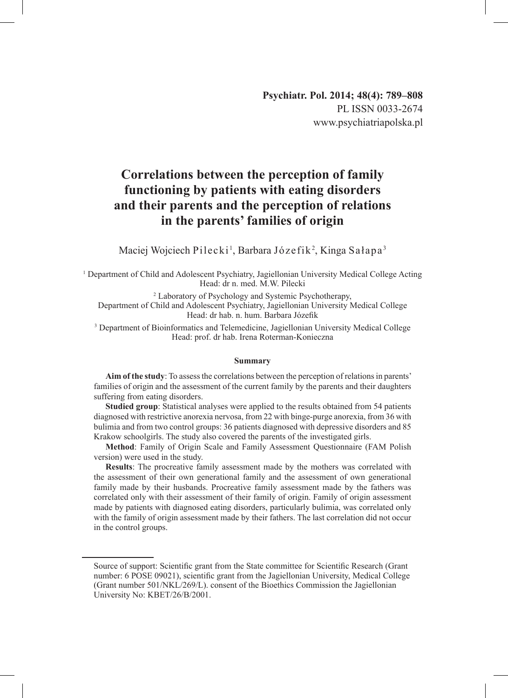# **Correlations between the perception of family functioning by patients with eating disorders and their parents and the perception of relations in the parents' families of origin**

Maciej Wojciech Pilecki<sup>1</sup>, Barbara Józefik<sup>2</sup>, Kinga Sałapa<sup>3</sup>

1 Department of Child and Adolescent Psychiatry, Jagiellonian University Medical College Acting Head: dr n. med. M.W. Pilecki

2 Laboratory of Psychology and Systemic Psychotherapy, Department of Child and Adolescent Psychiatry, Jagiellonian University Medical College Head: dr hab. n. hum. Barbara Józefik

<sup>3</sup> Department of Bioinformatics and Telemedicine, Jagiellonian University Medical College Head: prof. dr hab. Irena Roterman-Konieczna

#### **Summary**

**Aim of the study**: To assess the correlations between the perception of relations in parents' families of origin and the assessment of the current family by the parents and their daughters suffering from eating disorders.

**Studied group**: Statistical analyses were applied to the results obtained from 54 patients diagnosed with restrictive anorexia nervosa, from 22 with binge-purge anorexia, from 36 with bulimia and from two control groups: 36 patients diagnosed with depressive disorders and 85 Krakow schoolgirls. The study also covered the parents of the investigated girls.

**Method**: Family of Origin Scale and Family Assessment Questionnaire (FAM Polish version) were used in the study.

**Results**: The procreative family assessment made by the mothers was correlated with the assessment of their own generational family and the assessment of own generational family made by their husbands. Procreative family assessment made by the fathers was correlated only with their assessment of their family of origin. Family of origin assessment made by patients with diagnosed eating disorders, particularly bulimia, was correlated only with the family of origin assessment made by their fathers. The last correlation did not occur in the control groups.

Source of support: Scientific grant from the State committee for Scientific Research (Grant number: 6 POSE 09021), scientific grant from the Jagiellonian University, Medical College (Grant number 501/NKL/269/L). consent of the Bioethics Commission the Jagiellonian University No: KBET/26/B/2001.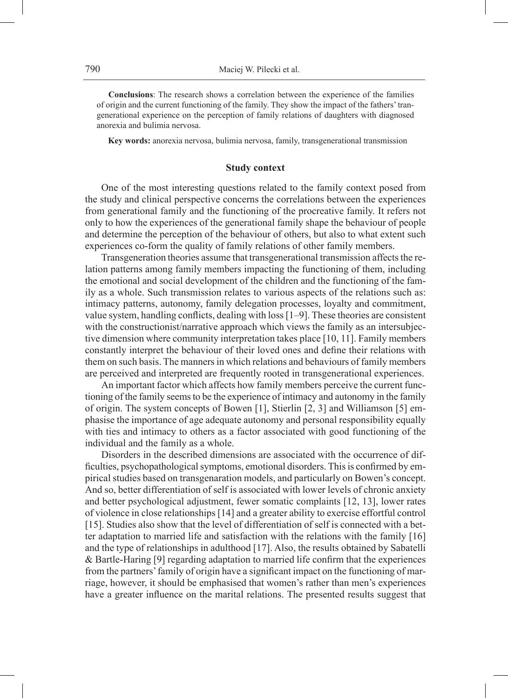**Conclusions**: The research shows a correlation between the experience of the families of origin and the current functioning of the family. They show the impact of the fathers' trangenerational experience on the perception of family relations of daughters with diagnosed anorexia and bulimia nervosa.

**Key words:** anorexia nervosa, bulimia nervosa, family, transgenerational transmission

#### **Study context**

One of the most interesting questions related to the family context posed from the study and clinical perspective concerns the correlations between the experiences from generational family and the functioning of the procreative family. It refers not only to how the experiences of the generational family shape the behaviour of people and determine the perception of the behaviour of others, but also to what extent such experiences co-form the quality of family relations of other family members.

Transgeneration theories assume that transgenerational transmission affects the relation patterns among family members impacting the functioning of them, including the emotional and social development of the children and the functioning of the family as a whole. Such transmission relates to various aspects of the relations such as: intimacy patterns, autonomy, family delegation processes, loyalty and commitment, value system, handling conflicts, dealing with loss [1–9]. These theories are consistent with the constructionist/narrative approach which views the family as an intersubjective dimension where community interpretation takes place [10, 11]. Family members constantly interpret the behaviour of their loved ones and define their relations with them on such basis. The manners in which relations and behaviours of family members are perceived and interpreted are frequently rooted in transgenerational experiences.

An important factor which affects how family members perceive the current functioning of the family seems to be the experience of intimacy and autonomy in the family of origin. The system concepts of Bowen [1], Stierlin [2, 3] and Williamson [5] emphasise the importance of age adequate autonomy and personal responsibility equally with ties and intimacy to others as a factor associated with good functioning of the individual and the family as a whole.

Disorders in the described dimensions are associated with the occurrence of difficulties, psychopathological symptoms, emotional disorders. This is confirmed by empirical studies based on transgenaration models, and particularly on Bowen's concept. And so, better differentiation of self is associated with lower levels of chronic anxiety and better psychological adjustment, fewer somatic complaints [12, 13], lower rates of violence in close relationships [14] and a greater ability to exercise effortful control [15]. Studies also show that the level of differentiation of self is connected with a better adaptation to married life and satisfaction with the relations with the family [16] and the type of relationships in adulthood [17]. Also, the results obtained by Sabatelli & Bartle-Haring [9] regarding adaptation to married life confirm that the experiences from the partners' family of origin have a significant impact on the functioning of marriage, however, it should be emphasised that women's rather than men's experiences have a greater influence on the marital relations. The presented results suggest that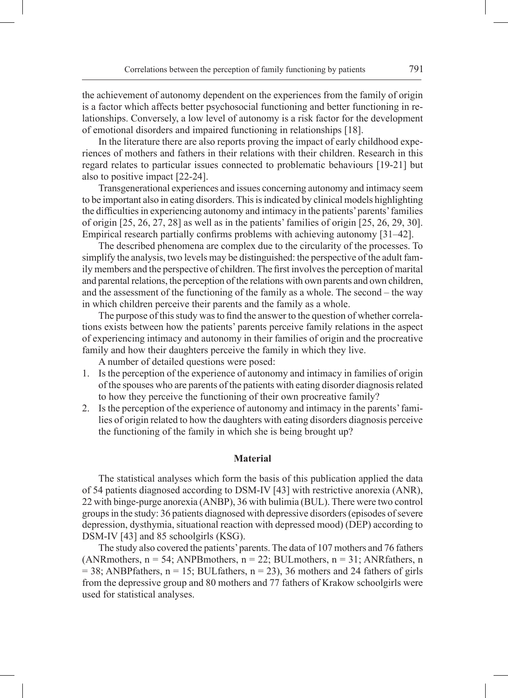the achievement of autonomy dependent on the experiences from the family of origin is a factor which affects better psychosocial functioning and better functioning in relationships. Conversely, a low level of autonomy is a risk factor for the development of emotional disorders and impaired functioning in relationships [18].

In the literature there are also reports proving the impact of early childhood experiences of mothers and fathers in their relations with their children. Research in this regard relates to particular issues connected to problematic behaviours [19-21] but also to positive impact [22-24].

Transgenerational experiences and issues concerning autonomy and intimacy seem to be important also in eating disorders. This is indicated by clinical models highlighting the difficulties in experiencing autonomy and intimacy in the patients' parents' families of origin [25, 26, 27, 28] as well as in the patients' families of origin [25, 26, 29, 30]. Empirical research partially confirms problems with achieving autonomy [31–42].

The described phenomena are complex due to the circularity of the processes. To simplify the analysis, two levels may be distinguished: the perspective of the adult family members and the perspective of children. The first involves the perception of marital and parental relations, the perception of the relations with own parents and own children, and the assessment of the functioning of the family as a whole. The second – the way in which children perceive their parents and the family as a whole.

The purpose of this study was to find the answer to the question of whether correlations exists between how the patients' parents perceive family relations in the aspect of experiencing intimacy and autonomy in their families of origin and the procreative family and how their daughters perceive the family in which they live.

A number of detailed questions were posed:

- 1. Is the perception of the experience of autonomy and intimacy in families of origin of the spouses who are parents of the patients with eating disorder diagnosis related to how they perceive the functioning of their own procreative family?
- 2. Is the perception of the experience of autonomy and intimacy in the parents' families of origin related to how the daughters with eating disorders diagnosis perceive the functioning of the family in which she is being brought up?

#### **Material**

The statistical analyses which form the basis of this publication applied the data of 54 patients diagnosed according to DSM-IV [43] with restrictive anorexia (ANR), 22 with binge-purge anorexia (ANBP), 36 with bulimia (BUL). There were two control groups in the study: 36 patients diagnosed with depressive disorders (episodes of severe depression, dysthymia, situational reaction with depressed mood) (DEP) according to DSM-IV [43] and 85 schoolgirls (KSG).

The study also covered the patients' parents. The data of 107 mothers and 76 fathers (ANRmothers,  $n = 54$ ; ANPBmothers,  $n = 22$ ; BULmothers,  $n = 31$ ; ANRfathers, n  $= 38$ ; ANBPfathers, n = 15; BULfathers, n = 23), 36 mothers and 24 fathers of girls from the depressive group and 80 mothers and 77 fathers of Krakow schoolgirls were used for statistical analyses.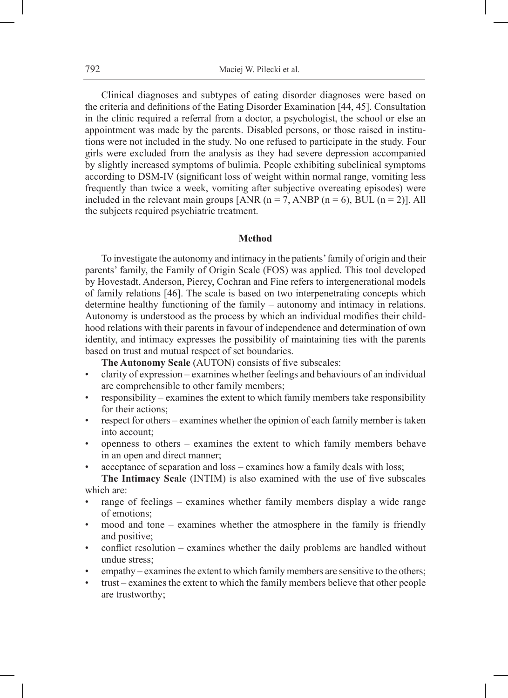Clinical diagnoses and subtypes of eating disorder diagnoses were based on the criteria and definitions of the Eating Disorder Examination [44, 45]. Consultation in the clinic required a referral from a doctor, a psychologist, the school or else an appointment was made by the parents. Disabled persons, or those raised in institutions were not included in the study. No one refused to participate in the study. Four girls were excluded from the analysis as they had severe depression accompanied by slightly increased symptoms of bulimia. People exhibiting subclinical symptoms according to DSM-IV (significant loss of weight within normal range, vomiting less frequently than twice a week, vomiting after subjective overeating episodes) were included in the relevant main groups [ANR ( $n = 7$ , ANBP ( $n = 6$ ), BUL ( $n = 2$ )]. All the subjects required psychiatric treatment.

## **Method**

To investigate the autonomy and intimacy in the patients' family of origin and their parents' family, the Family of Origin Scale (FOS) was applied. This tool developed by Hovestadt, Anderson, Piercy, Cochran and Fine refers to intergenerational models of family relations [46]. The scale is based on two interpenetrating concepts which determine healthy functioning of the family – autonomy and intimacy in relations. Autonomy is understood as the process by which an individual modifies their childhood relations with their parents in favour of independence and determination of own identity, and intimacy expresses the possibility of maintaining ties with the parents based on trust and mutual respect of set boundaries.

**The Autonomy Scale** (AUTON) consists of five subscales:

- clarity of expression examines whether feelings and behaviours of an individual are comprehensible to other family members;
- responsibility examines the extent to which family members take responsibility for their actions;
- respect for others examines whether the opinion of each family member is taken into account;
- openness to others examines the extent to which family members behave in an open and direct manner;
- acceptance of separation and loss examines how a family deals with loss;

**The Intimacy Scale** (INTIM) is also examined with the use of five subscales which are:

- range of feelings examines whether family members display a wide range of emotions;
- mood and tone examines whether the atmosphere in the family is friendly and positive;
- conflict resolution examines whether the daily problems are handled without undue stress;
- empathy examines the extent to which family members are sensitive to the others;
- trust examines the extent to which the family members believe that other people are trustworthy;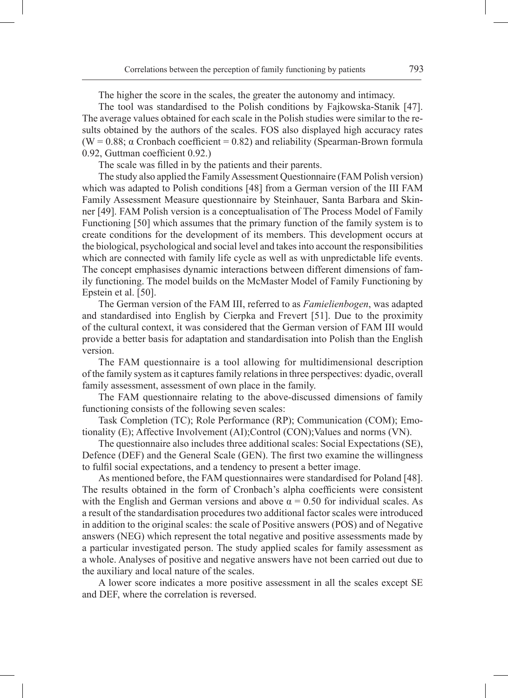The higher the score in the scales, the greater the autonomy and intimacy.

The tool was standardised to the Polish conditions by Fajkowska-Stanik [47]. The average values obtained for each scale in the Polish studies were similar to the results obtained by the authors of the scales. FOS also displayed high accuracy rates (W =  $0.88$ ;  $\alpha$  Cronbach coefficient = 0.82) and reliability (Spearman-Brown formula 0.92, Guttman coefficient 0.92.)

The scale was filled in by the patients and their parents.

The study also applied the Family Assessment Questionnaire (FAM Polish version) which was adapted to Polish conditions [48] from a German version of the III FAM Family Assessment Measure questionnaire by Steinhauer, Santa Barbara and Skinner [49]. FAM Polish version is a conceptualisation of The Process Model of Family Functioning [50] which assumes that the primary function of the family system is to create conditions for the development of its members. This development occurs at the biological, psychological and social level and takes into account the responsibilities which are connected with family life cycle as well as with unpredictable life events. The concept emphasises dynamic interactions between different dimensions of family functioning. The model builds on the McMaster Model of Family Functioning by Epstein et al. [50].

The German version of the FAM III, referred to as *Famielienbogen*, was adapted and standardised into English by Cierpka and Frevert [51]. Due to the proximity of the cultural context, it was considered that the German version of FAM III would provide a better basis for adaptation and standardisation into Polish than the English version.

The FAM questionnaire is a tool allowing for multidimensional description of the family system as it captures family relations in three perspectives: dyadic, overall family assessment, assessment of own place in the family.

The FAM questionnaire relating to the above-discussed dimensions of family functioning consists of the following seven scales:

Task Completion (TC); Role Performance (RP); Communication (COM); Emotionality (E); Affective Involvement (AI);Control (CON);Values and norms (VN).

The questionnaire also includes three additional scales: Social Expectations (SE), Defence (DEF) and the General Scale (GEN). The first two examine the willingness to fulfil social expectations, and a tendency to present a better image.

As mentioned before, the FAM questionnaires were standardised for Poland [48]. The results obtained in the form of Cronbach's alpha coefficients were consistent with the English and German versions and above  $\alpha = 0.50$  for individual scales. As a result of the standardisation procedures two additional factor scales were introduced in addition to the original scales: the scale of Positive answers (POS) and of Negative answers (NEG) which represent the total negative and positive assessments made by a particular investigated person. The study applied scales for family assessment as a whole. Analyses of positive and negative answers have not been carried out due to the auxiliary and local nature of the scales.

A lower score indicates a more positive assessment in all the scales except SE and DEF, where the correlation is reversed.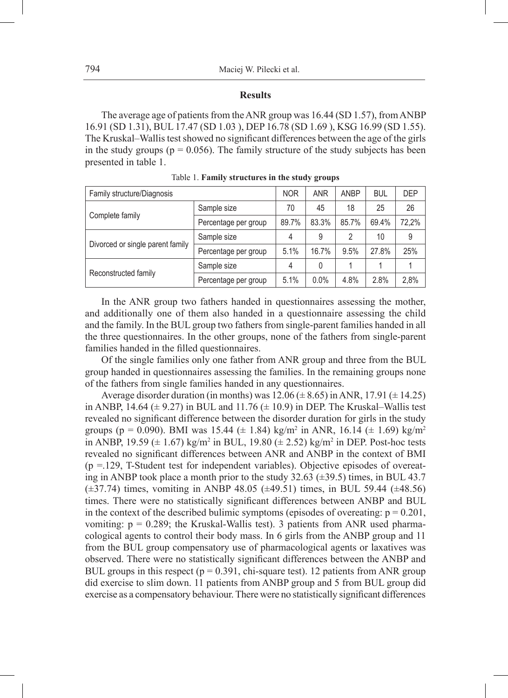#### **Results**

The average age of patients from theANR group was 16.44 (SD 1.57), from ANBP 16.91 (SD 1.31), BUL 17.47 (SD 1.03 ), DEP 16.78 (SD 1.69 ), KSG 16.99 (SD 1.55). The Kruskal–Wallis test showed no significant differences between the age of the girls in the study groups ( $p = 0.056$ ). The family structure of the study subjects has been presented in table 1.

| Family structure/Diagnosis       |                      | <b>NOR</b> | <b>ANR</b> | <b>ANBP</b> | <b>BUL</b> | <b>DEP</b> |
|----------------------------------|----------------------|------------|------------|-------------|------------|------------|
|                                  | Sample size          | 70         | 45         | 18          | 25         | 26         |
| Complete family                  | Percentage per group | 89.7%      | 83.3%      | 85.7%       | 69.4%      | 72,2%      |
|                                  | Sample size          | 4          | 9          | 2           | 10         | 9          |
| Divorced or single parent family | Percentage per group | 5.1%       | 16.7%      | 9.5%        | 27.8%      | 25%        |
|                                  | Sample size          | 4          | 0          |             |            |            |
| Reconstructed family             | Percentage per group | 5.1%       | 0.0%       | 4.8%        | 2.8%       | 2,8%       |

Table 1. **Family structures in the study groups**

In the ANR group two fathers handed in questionnaires assessing the mother, and additionally one of them also handed in a questionnaire assessing the child and the family. In the BUL group two fathers from single-parent families handed in all the three questionnaires. In the other groups, none of the fathers from single-parent families handed in the filled questionnaires.

Of the single families only one father from ANR group and three from the BUL group handed in questionnaires assessing the families. In the remaining groups none of the fathers from single families handed in any questionnaires.

Average disorder duration (in months) was  $12.06 \ (\pm 8.65)$  in ANR,  $17.91 \ (\pm 14.25)$ in ANBP, 14.64  $(\pm 9.27)$  in BUL and 11.76  $(\pm 10.9)$  in DEP. The Kruskal–Wallis test revealed no significant difference between the disorder duration for girls in the study groups (p = 0.090). BMI was 15.44 ( $\pm$  1.84) kg/m<sup>2</sup> in ANR, 16.14 ( $\pm$  1.69) kg/m<sup>2</sup> in ANBP, 19.59 ( $\pm$  1.67) kg/m<sup>2</sup> in BUL, 19.80 ( $\pm$  2.52) kg/m<sup>2</sup> in DEP. Post-hoc tests revealed no significant differences between ANR and ANBP in the context of BMI  $(p = 129, T-Student test for independent variables)$ . Objective episodes of overeating in ANBP took place a month prior to the study 32.63 (±39.5) times, in BUL 43.7  $(\pm 37.74)$  times, vomiting in ANBP 48.05 ( $\pm 49.51$ ) times, in BUL 59.44 ( $\pm 48.56$ ) times. There were no statistically significant differences between ANBP and BUL in the context of the described bulimic symptoms (episodes of overeating:  $p = 0.201$ , vomiting:  $p = 0.289$ ; the Kruskal-Wallis test). 3 patients from ANR used pharmacological agents to control their body mass. In 6 girls from the ANBP group and 11 from the BUL group compensatory use of pharmacological agents or laxatives was observed. There were no statistically significant differences between the ANBP and BUL groups in this respect ( $p = 0.391$ , chi-square test). 12 patients from ANR group did exercise to slim down. 11 patients from ANBP group and 5 from BUL group did exercise as a compensatory behaviour. There were no statistically significant differences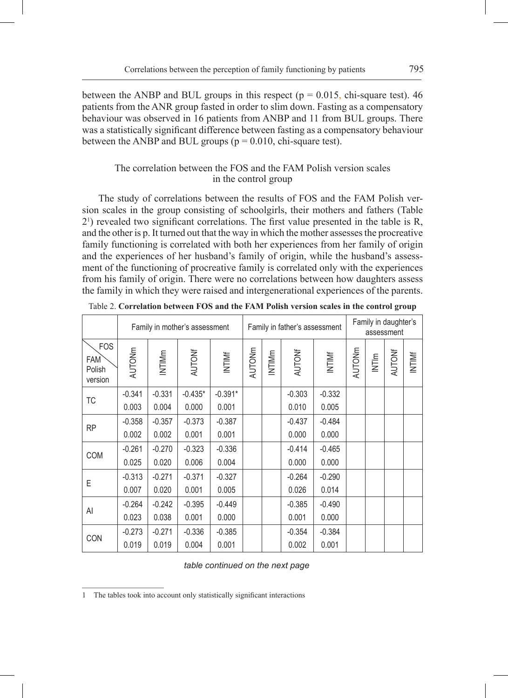between the ANBP and BUL groups in this respect ( $p = 0.015$ , chi-square test). 46 patients from the ANR group fasted in order to slim down. Fasting as a compensatory behaviour was observed in 16 patients from ANBP and 11 from BUL groups. There was a statistically significant difference between fasting as a compensatory behaviour between the ANBP and BUL groups ( $p = 0.010$ , chi-square test).

# The correlation between the FOS and the FAM Polish version scales in the control group

The study of correlations between the results of FOS and the FAM Polish version scales in the group consisting of schoolgirls, their mothers and fathers (Table 21 ) revealed two significant correlations. The first value presented in the table is R, and the other is p. It turned out that the way in which the mother assesses the procreative family functioning is correlated with both her experiences from her family of origin and the experiences of her husband's family of origin, while the husband's assessment of the functioning of procreative family is correlated only with the experiences from his family of origin. There were no correlations between how daughters assess the family in which they were raised and intergenerational experiences of the parents.

|                                               |               |          | Family in mother's assessment |           |        |        | Family in father's assessment |          |        | Family in daughter's<br>assessment |        |        |
|-----------------------------------------------|---------------|----------|-------------------------------|-----------|--------|--------|-------------------------------|----------|--------|------------------------------------|--------|--------|
| <b>FOS</b><br><b>FAM</b><br>Polish<br>version | <b>AUTONm</b> | INTIMm   | <b>AUTONf</b>                 | INTIME    | AUTONm | INTIMm | <b>AUTONf</b>                 | INTIMF   | AUTONm | INTIm                              | AUTONf | INTIMF |
|                                               | $-0.341$      | $-0.331$ | $-0.435*$                     | $-0.391*$ |        |        | $-0.303$                      | $-0.332$ |        |                                    |        |        |
| ТC                                            | 0.003         | 0.004    | 0.000                         | 0.001     |        |        | 0.010                         | 0.005    |        |                                    |        |        |
|                                               | $-0.358$      | $-0.357$ | $-0.373$                      | $-0.387$  |        |        | $-0.437$                      | $-0.484$ |        |                                    |        |        |
| <b>RP</b>                                     | 0.002         | 0.002    | 0.001                         | 0.001     |        |        | 0.000                         | 0.000    |        |                                    |        |        |
|                                               | $-0.261$      | $-0.270$ | $-0.323$                      | $-0.336$  |        |        | $-0.414$                      | $-0.465$ |        |                                    |        |        |
| COM                                           | 0.025         | 0.020    | 0.006                         | 0.004     |        |        | 0.000                         | 0.000    |        |                                    |        |        |
| E                                             | $-0.313$      | $-0.271$ | $-0.371$                      | $-0.327$  |        |        | $-0.264$                      | $-0.290$ |        |                                    |        |        |
|                                               | 0.007         | 0.020    | 0.001                         | 0.005     |        |        | 0.026                         | 0.014    |        |                                    |        |        |
|                                               | $-0.264$      | $-0.242$ | $-0.395$                      | $-0.449$  |        |        | $-0.385$                      | $-0.490$ |        |                                    |        |        |
| Al                                            | 0.023         | 0.038    | 0.001                         | 0.000     |        |        | 0.001                         | 0.000    |        |                                    |        |        |
|                                               | $-0.273$      | $-0.271$ | $-0.336$                      | $-0.385$  |        |        | $-0.354$                      | $-0.384$ |        |                                    |        |        |
| CON                                           | 0.019         | 0.019    | 0.004                         | 0.001     |        |        | 0.002                         | 0.001    |        |                                    |        |        |

|  | Table 2. Correlation between FOS and the FAM Polish version scales in the control group |  |  |  |  |  |  |  |  |  |  |
|--|-----------------------------------------------------------------------------------------|--|--|--|--|--|--|--|--|--|--|
|--|-----------------------------------------------------------------------------------------|--|--|--|--|--|--|--|--|--|--|

<sup>1</sup> The tables took into account only statistically significant interactions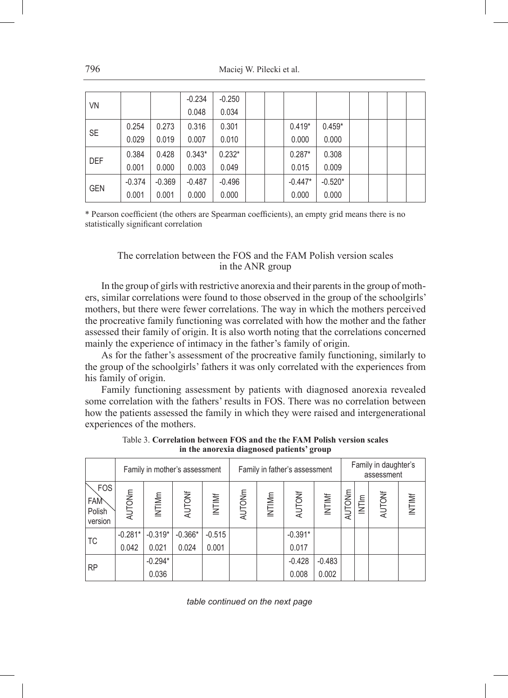|            |          |          | $-0.234$ | $-0.250$ |  |           |           |  |  |
|------------|----------|----------|----------|----------|--|-----------|-----------|--|--|
| VN         |          |          | 0.048    | 0.034    |  |           |           |  |  |
| <b>SE</b>  | 0.254    | 0.273    | 0.316    | 0.301    |  | $0.419*$  | $0.459*$  |  |  |
|            | 0.029    | 0.019    | 0.007    | 0.010    |  | 0.000     | 0.000     |  |  |
| <b>DEF</b> | 0.384    | 0.428    | $0.343*$ | $0.232*$ |  | $0.287*$  | 0.308     |  |  |
|            | 0.001    | 0.000    | 0.003    | 0.049    |  | 0.015     | 0.009     |  |  |
|            | $-0.374$ | $-0.369$ | $-0.487$ | $-0.496$ |  | $-0.447*$ | $-0.520*$ |  |  |
| <b>GEN</b> | 0.001    | 0.001    | 0.000    | 0.000    |  | 0.000     | 0.000     |  |  |

\* Pearson coefficient (the others are Spearman coefficients), an empty grid means there is no statistically significant correlation

### The correlation between the FOS and the FAM Polish version scales in the ANR group

In the group of girls with restrictive anorexia and their parents in the group of mothers, similar correlations were found to those observed in the group of the schoolgirls' mothers, but there were fewer correlations. The way in which the mothers perceived the procreative family functioning was correlated with how the mother and the father assessed their family of origin. It is also worth noting that the correlations concerned mainly the experience of intimacy in the father's family of origin.

As for the father's assessment of the procreative family functioning, similarly to the group of the schoolgirls' fathers it was only correlated with the experiences from his family of origin.

Family functioning assessment by patients with diagnosed anorexia revealed some correlation with the fathers' results in FOS. There was no correlation between how the patients assessed the family in which they were raised and intergenerational experiences of the mothers.

|                                        |                    |                    | Family in mother's assessment |                   |               |        | Family in father's assessment |                   |        |            | Family in daughter's<br>assessment |        |
|----------------------------------------|--------------------|--------------------|-------------------------------|-------------------|---------------|--------|-------------------------------|-------------------|--------|------------|------------------------------------|--------|
| <b>FOS</b><br>FAM<br>Polish<br>version | <b>AUTONm</b>      | INTIMm             | AUTONf                        | INTIMF            | <b>AUTONm</b> | INTIMm | AUTONf                        | INTIME            | AUTONm | $N$ T $ m$ | AUTONf                             | INTIME |
| TC                                     | $-0.281*$<br>0.042 | $-0.319*$<br>0.021 | $-0.366*$<br>0.024            | $-0.515$<br>0.001 |               |        | $-0.391*$<br>0.017            |                   |        |            |                                    |        |
| <b>RP</b>                              |                    | $-0.294*$<br>0.036 |                               |                   |               |        | $-0.428$<br>0.008             | $-0.483$<br>0.002 |        |            |                                    |        |

Table 3. **Correlation between FOS and the the FAM Polish version scales in the anorexia diagnosed patients' group**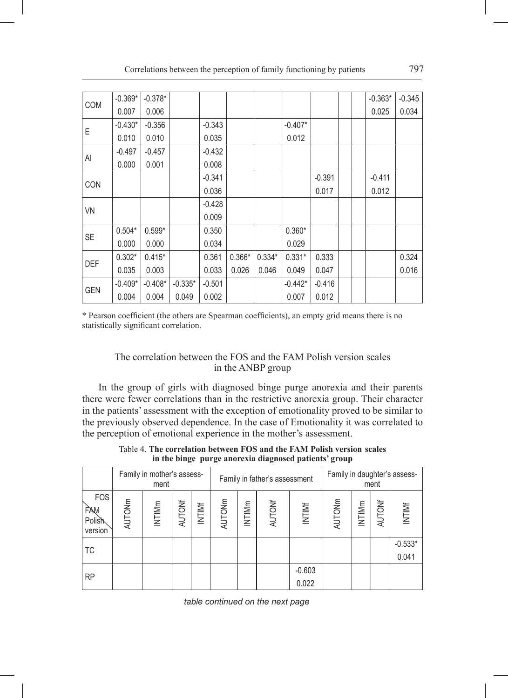| <b>COM</b> | $-0.369*$ | $-0.378*$ |           |          |          |          |           |          |  | $-0.363*$ | $-0.345$ |
|------------|-----------|-----------|-----------|----------|----------|----------|-----------|----------|--|-----------|----------|
|            | 0.007     | 0.006     |           |          |          |          |           |          |  | 0.025     | 0.034    |
| E          | $-0.430*$ | $-0.356$  |           | $-0.343$ |          |          | $-0.407*$ |          |  |           |          |
|            | 0.010     | 0.010     |           | 0.035    |          |          | 0.012     |          |  |           |          |
|            | $-0.497$  | $-0.457$  |           | $-0.432$ |          |          |           |          |  |           |          |
| Al         | 0.000     | 0.001     |           | 0.008    |          |          |           |          |  |           |          |
|            |           |           |           | $-0.341$ |          |          |           | $-0.391$ |  | $-0.411$  |          |
| <b>CON</b> |           |           |           | 0.036    |          |          |           | 0.017    |  | 0.012     |          |
|            |           |           |           | $-0.428$ |          |          |           |          |  |           |          |
| <b>VN</b>  |           |           |           | 0.009    |          |          |           |          |  |           |          |
|            | $0.504*$  | $0.599*$  |           | 0.350    |          |          | $0.360*$  |          |  |           |          |
| <b>SE</b>  | 0.000     | 0.000     |           | 0.034    |          |          | 0.029     |          |  |           |          |
|            | $0.302*$  | $0.415*$  |           | 0.361    | $0.366*$ | $0.334*$ | $0.331*$  | 0.333    |  |           | 0.324    |
| <b>DEF</b> | 0.035     | 0.003     |           | 0.033    | 0.026    | 0.046    | 0.049     | 0.047    |  |           | 0.016    |
|            | $-0.409*$ | $-0.408*$ | $-0.335*$ | $-0.501$ |          |          | $-0.442*$ | $-0.416$ |  |           |          |
| <b>GEN</b> | 0.004     | 0.004     | 0.049     | 0.002    |          |          | 0.007     | 0.012    |  |           |          |

\* Pearson coefficient (the others are Spearman coefficients), an empty grid means there is no statistically significant correlation.

# The correlation between the FOS and the FAM Polish version scales in the ANBP group

In the group of girls with diagnosed binge purge anorexia and their parents there were fewer correlations than in the restrictive anorexia group. Their character in the patients' assessment with the exception of emotionality proved to be similar to the previously observed dependence. In the case of Emotionality it was correlated to the perception of emotional experience in the mother's assessment.

|                                                       |  | Table 4. The correlation between FOS and the FAM Polish version scales |  |
|-------------------------------------------------------|--|------------------------------------------------------------------------|--|
| in the binge purge anorexia diagnosed patients' group |  |                                                                        |  |

|                                        |        | Family in mother's assess-<br>ment |        |        |        |        | Family in father's assessment |                   |               |        | ment          | Family in daughter's assess- |
|----------------------------------------|--------|------------------------------------|--------|--------|--------|--------|-------------------------------|-------------------|---------------|--------|---------------|------------------------------|
| <b>FOS</b><br>FAM<br>Polish<br>version | AUTONm | INTIMm                             | AUTONf | INTIMF | AUTONm | INTIMm | <b>AUTONf</b>                 | <b>INTIMF</b>     | <b>AUTONm</b> | INTIMm | <b>AUTONf</b> | INTIMF                       |
| TC                                     |        |                                    |        |        |        |        |                               |                   |               |        |               | $-0.533*$<br>0.041           |
| <b>RP</b>                              |        |                                    |        |        |        |        |                               | $-0.603$<br>0.022 |               |        |               |                              |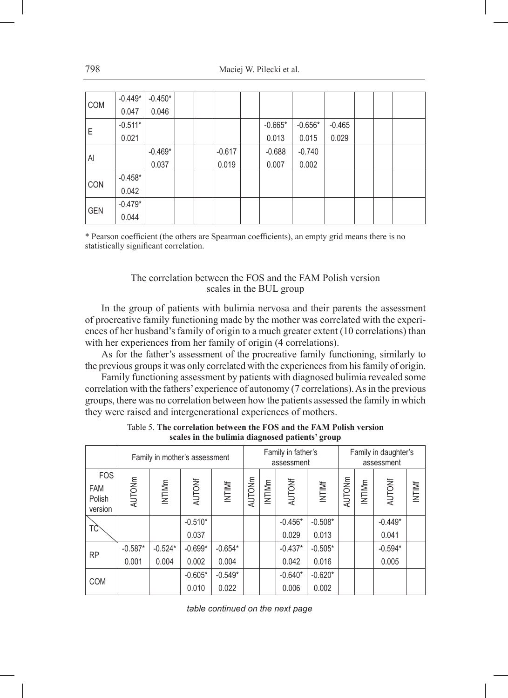|            | $-0.449*$ | $-0.450*$ |  |          |           |           |          |  |  |
|------------|-----------|-----------|--|----------|-----------|-----------|----------|--|--|
| <b>COM</b> | 0.047     | 0.046     |  |          |           |           |          |  |  |
| Е          | $-0.511*$ |           |  |          | $-0.665*$ | $-0.656*$ | $-0.465$ |  |  |
|            | 0.021     |           |  |          | 0.013     | 0.015     | 0.029    |  |  |
| Al         |           | $-0.469*$ |  | $-0.617$ | $-0.688$  | $-0.740$  |          |  |  |
|            |           | 0.037     |  | 0.019    | 0.007     | 0.002     |          |  |  |
| <b>CON</b> | $-0.458*$ |           |  |          |           |           |          |  |  |
|            | 0.042     |           |  |          |           |           |          |  |  |
| <b>GEN</b> | $-0.479*$ |           |  |          |           |           |          |  |  |
|            | 0.044     |           |  |          |           |           |          |  |  |

\* Pearson coefficient (the others are Spearman coefficients), an empty grid means there is no statistically significant correlation.

# The correlation between the FOS and the FAM Polish version scales in the BUL group

In the group of patients with bulimia nervosa and their parents the assessment of procreative family functioning made by the mother was correlated with the experiences of her husband's family of origin to a much greater extent (10 correlations) than with her experiences from her family of origin (4 correlations).

As for the father's assessment of the procreative family functioning, similarly to the previous groups it was only correlated with the experiences from his family of origin.

Family functioning assessment by patients with diagnosed bulimia revealed some correlation with the fathers' experience of autonomy (7 correlations). As in the previous groups, there was no correlation between how the patients assessed the family in which they were raised and intergenerational experiences of mothers.

|                                               |               |           | Family in mother's assessment |           |        |        | Family in father's<br>assessment |           |        |        | Family in daughter's<br>assessment |        |
|-----------------------------------------------|---------------|-----------|-------------------------------|-----------|--------|--------|----------------------------------|-----------|--------|--------|------------------------------------|--------|
| <b>FOS</b><br><b>FAM</b><br>Polish<br>version | <b>AUTONm</b> | INTIMm    | <b>AUTONf</b>                 | INTIMF    | AUTONm | INTIMm | <b>AUTONf</b>                    | INTIMF    | AUTONm | INTIMm | <b>AUTONf</b>                      | INTIMF |
| ΤÇ                                            |               |           | $-0.510*$                     |           |        |        | $-0.456*$                        | $-0.508*$ |        |        | $-0.449*$                          |        |
|                                               |               |           | 0.037                         |           |        |        | 0.029                            | 0.013     |        |        | 0.041                              |        |
| <b>RP</b>                                     | $-0.587*$     | $-0.524*$ | $-0.699*$                     | $-0.654*$ |        |        | $-0.437*$                        | $-0.505*$ |        |        | $-0.594*$                          |        |
|                                               | 0.001         | 0.004     | 0.002                         | 0.004     |        |        | 0.042                            | 0.016     |        |        | 0.005                              |        |
| <b>COM</b>                                    |               |           | $-0.605*$                     | $-0.549*$ |        |        | $-0.640*$                        | $-0.620*$ |        |        |                                    |        |
|                                               |               |           | 0.010                         | 0.022     |        |        | 0.006                            | 0.002     |        |        |                                    |        |

Table 5. **The correlation between the FOS and the FAM Polish version scales in the bulimia diagnosed patients' group**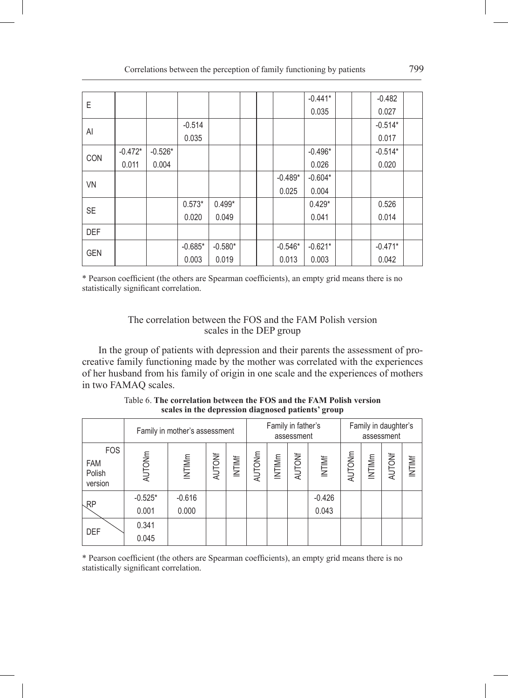| E          |           |           |           |           |  |           | $-0.441*$ |  | $-0.482$  |  |
|------------|-----------|-----------|-----------|-----------|--|-----------|-----------|--|-----------|--|
|            |           |           |           |           |  |           | 0.035     |  | 0.027     |  |
| Al         |           |           | $-0.514$  |           |  |           |           |  | $-0.514*$ |  |
|            |           |           | 0.035     |           |  |           |           |  | 0.017     |  |
| <b>CON</b> | $-0.472*$ | $-0.526*$ |           |           |  |           | $-0.496*$ |  | $-0.514*$ |  |
|            | 0.011     | 0.004     |           |           |  |           | 0.026     |  | 0.020     |  |
| <b>VN</b>  |           |           |           |           |  | $-0.489*$ | $-0.604*$ |  |           |  |
|            |           |           |           |           |  | 0.025     | 0.004     |  |           |  |
| <b>SE</b>  |           |           | $0.573*$  | $0.499*$  |  |           | $0.429*$  |  | 0.526     |  |
|            |           |           | 0.020     | 0.049     |  |           | 0.041     |  | 0.014     |  |
| <b>DEF</b> |           |           |           |           |  |           |           |  |           |  |
|            |           |           | $-0.685*$ | $-0.580*$ |  | $-0.546*$ | $-0.621*$ |  | $-0.471*$ |  |
| <b>GEN</b> |           |           | 0.003     | 0.019     |  | 0.013     | 0.003     |  | 0.042     |  |

\* Pearson coefficient (the others are Spearman coefficients), an empty grid means there is no statistically significant correlation.

# The correlation between the FOS and the FAM Polish version scales in the DEP group

In the group of patients with depression and their parents the assessment of procreative family functioning made by the mother was correlated with the experiences of her husband from his family of origin in one scale and the experiences of mothers in two FAMAQ scales.

|                                               |               | Family in mother's assessment |               |        |        |        | Family in father's<br>assessment |          |        | Family in daughter's | assessment    |               |
|-----------------------------------------------|---------------|-------------------------------|---------------|--------|--------|--------|----------------------------------|----------|--------|----------------------|---------------|---------------|
| <b>FOS</b><br><b>FAM</b><br>Polish<br>version | <b>AUTONm</b> | INTIMm                        | <b>AUTONf</b> | INTIME | AUTONm | INTIMm | AUTONf                           | INTIMf   | AUTONm | INTIMm               | <b>AUTONE</b> | <b>INTIMF</b> |
| $\mathcal{R}P$                                | $-0.525*$     | $-0.616$                      |               |        |        |        |                                  | $-0.426$ |        |                      |               |               |
|                                               | 0.001         | 0.000                         |               |        |        |        |                                  | 0.043    |        |                      |               |               |
| DEF                                           | 0.341         |                               |               |        |        |        |                                  |          |        |                      |               |               |
|                                               | 0.045         |                               |               |        |        |        |                                  |          |        |                      |               |               |

Table 6. **The correlation between the FOS and the FAM Polish version scales in the depression diagnosed patients' group**

\* Pearson coefficient (the others are Spearman coefficients), an empty grid means there is no statistically significant correlation.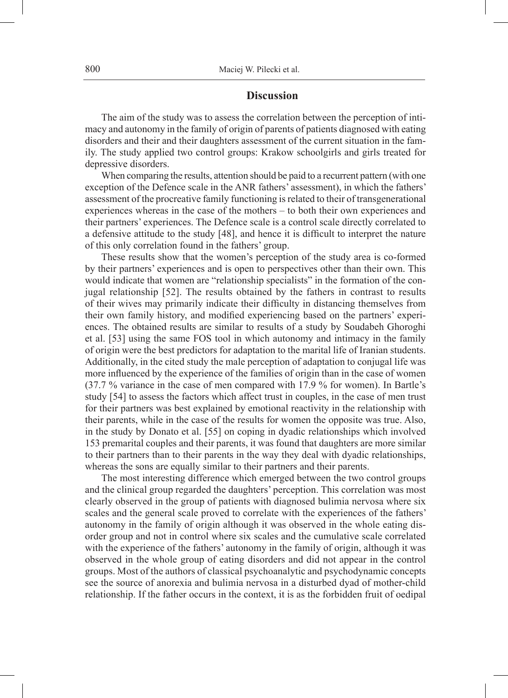# **Discussion**

The aim of the study was to assess the correlation between the perception of intimacy and autonomy in the family of origin of parents of patients diagnosed with eating disorders and their and their daughters assessment of the current situation in the family. The study applied two control groups: Krakow schoolgirls and girls treated for depressive disorders.

When comparing the results, attention should be paid to a recurrent pattern (with one exception of the Defence scale in the ANR fathers' assessment), in which the fathers' assessment of the procreative family functioning is related to their of transgenerational experiences whereas in the case of the mothers – to both their own experiences and their partners' experiences. The Defence scale is a control scale directly correlated to a defensive attitude to the study [48], and hence it is difficult to interpret the nature of this only correlation found in the fathers' group.

These results show that the women's perception of the study area is co-formed by their partners' experiences and is open to perspectives other than their own. This would indicate that women are "relationship specialists" in the formation of the conjugal relationship [52]. The results obtained by the fathers in contrast to results of their wives may primarily indicate their difficulty in distancing themselves from their own family history, and modified experiencing based on the partners' experiences. The obtained results are similar to results of a study by Soudabeh Ghoroghi et al. [53] using the same FOS tool in which autonomy and intimacy in the family of origin were the best predictors for adaptation to the marital life of Iranian students. Additionally, in the cited study the male perception of adaptation to conjugal life was more influenced by the experience of the families of origin than in the case of women (37.7 % variance in the case of men compared with 17.9 % for women). In Bartle's study [54] to assess the factors which affect trust in couples, in the case of men trust for their partners was best explained by emotional reactivity in the relationship with their parents, while in the case of the results for women the opposite was true. Also, in the study by Donato et al. [55] on coping in dyadic relationships which involved 153 premarital couples and their parents, it was found that daughters are more similar to their partners than to their parents in the way they deal with dyadic relationships, whereas the sons are equally similar to their partners and their parents.

The most interesting difference which emerged between the two control groups and the clinical group regarded the daughters' perception. This correlation was most clearly observed in the group of patients with diagnosed bulimia nervosa where six scales and the general scale proved to correlate with the experiences of the fathers' autonomy in the family of origin although it was observed in the whole eating disorder group and not in control where six scales and the cumulative scale correlated with the experience of the fathers' autonomy in the family of origin, although it was observed in the whole group of eating disorders and did not appear in the control groups. Most of the authors of classical psychoanalytic and psychodynamic concepts see the source of anorexia and bulimia nervosa in a disturbed dyad of mother-child relationship. If the father occurs in the context, it is as the forbidden fruit of oedipal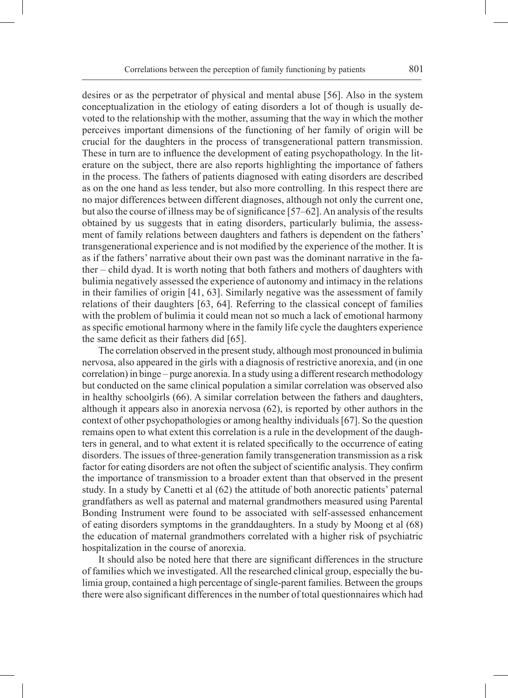desires or as the perpetrator of physical and mental abuse [56]. Also in the system conceptualization in the etiology of eating disorders a lot of though is usually devoted to the relationship with the mother, assuming that the way in which the mother perceives important dimensions of the functioning of her family of origin will be crucial for the daughters in the process of transgenerational pattern transmission. These in turn are to influence the development of eating psychopathology. In the literature on the subject, there are also reports highlighting the importance of fathers in the process. The fathers of patients diagnosed with eating disorders are described as on the one hand as less tender, but also more controlling. In this respect there are no major differences between different diagnoses, although not only the current one, but also the course of illness may be of significance [57–62]. An analysis of the results obtained by us suggests that in eating disorders, particularly bulimia, the assessment of family relations between daughters and fathers is dependent on the fathers' transgenerational experience and is not modified by the experience of the mother. It is as if the fathers' narrative about their own past was the dominant narrative in the father – child dyad. It is worth noting that both fathers and mothers of daughters with bulimia negatively assessed the experience of autonomy and intimacy in the relations in their families of origin [41, 63]. Similarly negative was the assessment of family relations of their daughters [63, 64]. Referring to the classical concept of families with the problem of bulimia it could mean not so much a lack of emotional harmony as specific emotional harmony where in the family life cycle the daughters experience the same deficit as their fathers did [65].

The correlation observed in the present study, although most pronounced in bulimia nervosa, also appeared in the girls with a diagnosis of restrictive anorexia, and (in one correlation) in binge – purge anorexia. In a study using a different research methodology but conducted on the same clinical population a similar correlation was observed also in healthy schoolgirls (66). A similar correlation between the fathers and daughters, although it appears also in anorexia nervosa  $(62)$ , is reported by other authors in the context of other psychopathologies or among healthy individuals [67]. So the question remains open to what extent this correlation is a rule in the development of the daughters in general, and to what extent it is related specifically to the occurrence of eating disorders. The issues of three-generation family transgeneration transmission as a risk factor for eating disorders are not often the subject of scientific analysis. They confirm the importance of transmission to a broader extent than that observed in the present study. In a study by Canetti et al (62) the attitude of both anorectic patients' paternal grandfathers as well as paternal and maternal grandmothers measured using Parental Bonding Instrument were found to be associated with self-assessed enhancement of eating disorders symptoms in the granddaughters. In a study by Moong et al (68) the education of maternal grandmothers correlated with a higher risk of psychiatric hospitalization in the course of anorexia.

It should also be noted here that there are significant differences in the structure of families which we investigated. All the researched clinical group, especially the bulimia group, contained a high percentage ofsingle-parent families. Between the groups there were also significant differences in the number of total questionnaires which had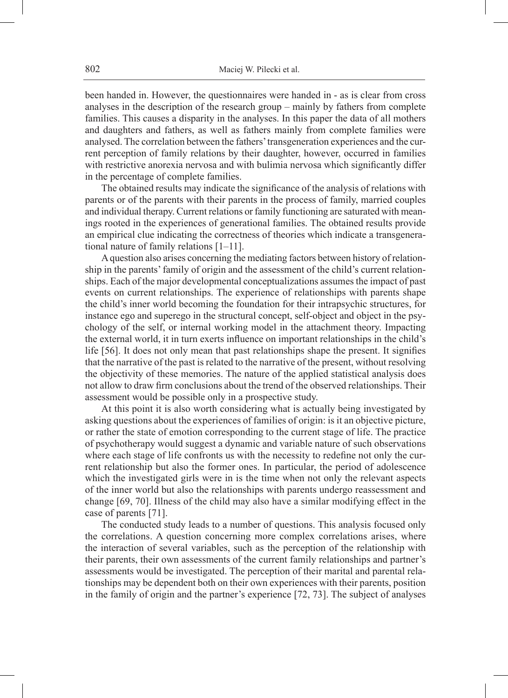been handed in. However, the questionnaires were handed in - as is clear from cross analyses in the description of the research group – mainly by fathers from complete families. This causes a disparity in the analyses. In this paper the data of all mothers and daughters and fathers, as well as fathers mainly from complete families were analysed. The correlation between the fathers' transgeneration experiences and the current perception of family relations by their daughter, however, occurred in families with restrictive anorexia nervosa and with bulimia nervosa which significantly differ in the percentage of complete families.

The obtained results may indicate the significance of the analysis of relations with parents or of the parents with their parents in the process of family, married couples and individual therapy. Current relations or family functioning are saturated with meanings rooted in the experiences of generational families. The obtained results provide an empirical clue indicating the correctness of theories which indicate a transgenerational nature of family relations [1–11].

A question also arises concerning the mediating factors between history of relationship in the parents' family of origin and the assessment of the child's current relationships. Each of the major developmental conceptualizations assumes the impact of past events on current relationships. The experience of relationships with parents shape the child's inner world becoming the foundation for their intrapsychic structures, for instance ego and superego in the structural concept, self-object and object in the psychology of the self, or internal working model in the attachment theory. Impacting the external world, it in turn exerts influence on important relationships in the child's life [56]. It does not only mean that past relationships shape the present. It signifies that the narrative of the past is related to the narrative of the present, without resolving the objectivity of these memories. The nature of the applied statistical analysis does not allow to draw firm conclusions about the trend of the observed relationships. Their assessment would be possible only in a prospective study.

At this point it is also worth considering what is actually being investigated by asking questions about the experiences of families of origin: is it an objective picture, or rather the state of emotion corresponding to the current stage of life. The practice of psychotherapy would suggest a dynamic and variable nature of such observations where each stage of life confronts us with the necessity to redefine not only the current relationship but also the former ones. In particular, the period of adolescence which the investigated girls were in is the time when not only the relevant aspects of the inner world but also the relationships with parents undergo reassessment and change [69, 70]. Illness of the child may also have a similar modifying effect in the case of parents [71].

The conducted study leads to a number of questions. This analysis focused only the correlations. A question concerning more complex correlations arises, where the interaction of several variables, such as the perception of the relationship with their parents, their own assessments of the current family relationships and partner's assessments would be investigated. The perception of their marital and parental relationships may be dependent both on their own experiences with their parents, position in the family of origin and the partner's experience [72, 73]. The subject of analyses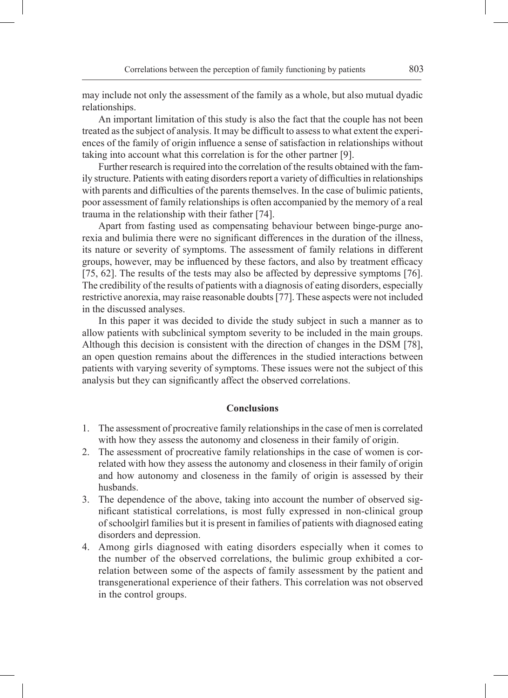may include not only the assessment of the family as a whole, but also mutual dyadic relationships.

An important limitation of this study is also the fact that the couple has not been treated as the subject of analysis. It may be difficult to assess to what extent the experiences of the family of origin influence a sense of satisfaction in relationships without taking into account what this correlation is for the other partner [9].

Further research is required into the correlation of the results obtained with the family structure. Patients with eating disorders report a variety of difficulties in relationships with parents and difficulties of the parents themselves. In the case of bulimic patients, poor assessment of family relationships is often accompanied by the memory of a real trauma in the relationship with their father [74].

Apart from fasting used as compensating behaviour between binge-purge anorexia and bulimia there were no significant differences in the duration of the illness, its nature or severity of symptoms. The assessment of family relations in different groups, however, may be influenced by these factors, and also by treatment efficacy [75, 62]. The results of the tests may also be affected by depressive symptoms [76]. The credibility of the results of patients with a diagnosis of eating disorders, especially restrictive anorexia, may raise reasonable doubts [77]. These aspects were not included in the discussed analyses.

In this paper it was decided to divide the study subject in such a manner as to allow patients with subclinical symptom severity to be included in the main groups. Although this decision is consistent with the direction of changes in the DSM [78], an open question remains about the differences in the studied interactions between patients with varying severity of symptoms. These issues were not the subject of this analysis but they can significantly affect the observed correlations.

## **Conclusions**

- 1. The assessment of procreative family relationships in the case of men is correlated with how they assess the autonomy and closeness in their family of origin.
- 2. The assessment of procreative family relationships in the case of women is correlated with how they assess the autonomy and closeness in their family of origin and how autonomy and closeness in the family of origin is assessed by their husbands.
- 3. The dependence of the above, taking into account the number of observed significant statistical correlations, is most fully expressed in non-clinical group ofschoolgirl families but it is present in families of patients with diagnosed eating disorders and depression.
- 4. Among girls diagnosed with eating disorders especially when it comes to the number of the observed correlations, the bulimic group exhibited a correlation between some of the aspects of family assessment by the patient and transgenerational experience of their fathers. This correlation was not observed in the control groups.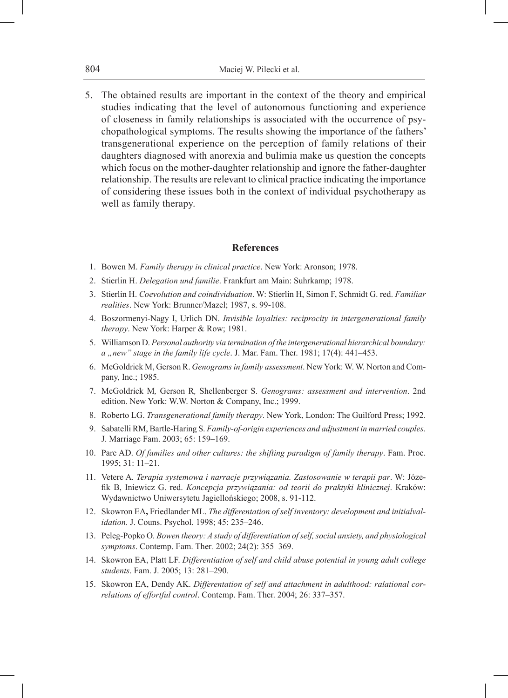5. The obtained results are important in the context of the theory and empirical studies indicating that the level of autonomous functioning and experience of closeness in family relationships is associated with the occurrence of psychopathological symptoms. The results showing the importance of the fathers' transgenerational experience on the perception of family relations of their daughters diagnosed with anorexia and bulimia make us question the concepts which focus on the mother-daughter relationship and ignore the father-daughter relationship. The results are relevant to clinical practice indicating the importance of considering these issues both in the context of individual psychotherapy as well as family therapy.

### **References**

- 1. Bowen M. *Family therapy in clinical practice*. New York: Aronson; 1978.
- 2. Stierlin H. *Delegation und familie*. Frankfurt am Main: Suhrkamp; 1978.
- 3. Stierlin H. *Coevolution and coindividuation*. W: Stierlin H, Simon F, Schmidt G. red. *Familiar realities*. New York: Brunner/Mazel; 1987, s. 99-108.
- 4. Boszormenyi-Nagy I, Urlich DN. *Invisible loyalties: reciprocity in intergenerational family therapy*. New York: Harper & Row; 1981.
- 5. Williamson D. *Personal authority via termination of the intergenerational hierarchical boundary: a "new" stage in the family life cycle*. J. Mar. Fam. Ther. 1981; 17(4): 441–453.
- 6. McGoldrick M, Gerson R. *Genograms in family assessment*. New York: W. W. Norton and Company, Inc.; 1985.
- 7. McGoldrick M*,* Gerson R*,* Shellenberger S. *Genograms: assessment and intervention*. 2nd edition. New York: W.W. Norton & Company, Inc.; 1999.
- 8. Roberto LG. *Transgenerational family therapy*. New York, London: The Guilford Press; 1992.
- 9. Sabatelli RM, Bartle-Haring S. *Family-of-origin experiences and adjustment in married couples*. J. Marriage Fam. 2003; 65: 159–169.
- 10. Pare AD. *Of families and other cultures: the shifting paradigm of family therapy*. Fam. Proc. 1995; 31: 11–21.
- 11. Vetere A*. Terapia systemowa i narracje przywiązania. Zastosowanie w terapii par*. W: Józefik B, Iniewicz G. red. *Koncepcja przywiązania: od teorii do praktyki klinicznej*. Kraków: Wydawnictwo Uniwersytetu Jagiellońskiego; 2008, s. 91-112.
- 12. Skowron EA**,** Friedlander ML. *The differentation of self inventory: development and initialvalidation.* J. Couns. Psychol. 1998; 45: 235–246.
- 13. Peleg*-*Popko O*. Bowen theory: A study of differentiation ofself, social anxiety, and physiological symptoms*. Contemp. Fam. Ther*.* 2002; 24(2): 355–369.
- 14. Skowron EA, Platt LF. *Differentiation of self and child abuse potential in young adult college students*. Fam. J. 2005; 13: 281–290*.*
- 15. Skowron EA, Dendy AK. *Differentation of self and attachment in adulthood: ralational correlations of effortful control*. Contemp. Fam. Ther. 2004; 26: 337–357.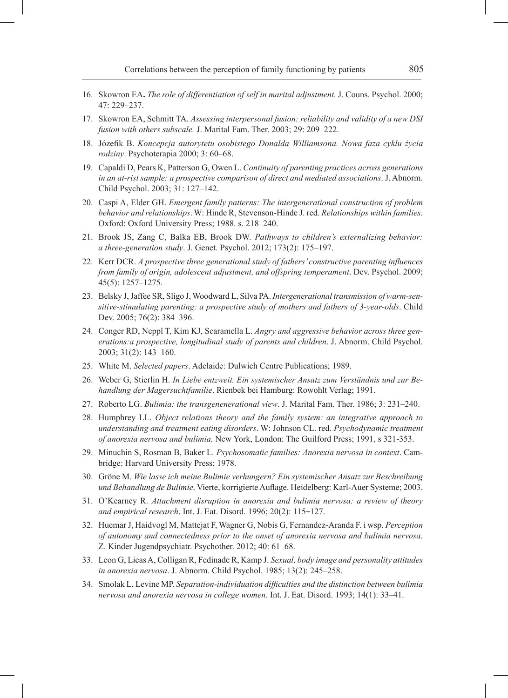- 16. Skowron EA**.** *The role of differentiation of self in marital adjustment.* J. Couns. Psychol. 2000; 47: 229–237.
- 17. Skowron EA, Schmitt TA. *Assessing interpersonal fusion: reliability and validity of a new DSI fusion with others subscale.* J. Marital Fam. Ther. 2003; 29: 209–222.
- 18. Józefik B. *Koncepcja autorytetu osobistego Donalda Williamsona. Nowa faza cyklu życia rodziny*. Psychoterapia 2000; 3: 60–68.
- 19. Capaldi D, Pears K, Patterson G, Owen L. *Continuity of parenting practices across generations in an at-rist sample: a prospective comparison of direct and mediated associations*. J. Abnorm. Child Psychol. 2003; 31: 127–142.
- 20. Caspi A, Elder GH. *Emergent family patterns: The intergenerational construction of problem behavior and relationships*. W: Hinde R, Stevenson-Hinde J. red. *Relationships within families*. Oxford: Oxford University Press; 1988. s. 218–240.
- 21. Brook JS, Zang C, Balka EB, Brook DW. *Pathways to children's externalizing behavior: a three-generation study*. J. Genet. Psychol. 2012; 173(2): 175–197.
- 22. Kerr DCR. *A prospective three generational study of fathers' constructive parenting influences from family of origin, adolescent adjustment, and offspring temperament*. Dev. Psychol. 2009; 45(5): 1257–1275.
- 23. Belsky J, Jaffee SR, Sligo J, Woodward L, Silva PA. *Intergenerational transmission ofwarm-sensitive-stimulating parenting: a prospective study of mothers and fathers of 3-year-olds*. Child Dev. 2005; 76(2): 384-396.
- 24. Conger RD, Neppl T, Kim KJ, Scaramella L. *Angry and aggressive behavior across three generations:a prospective, longitudinal study of parents and children*. J. Abnorm. Child Psychol. 2003; 31(2): 143–160.
- 25. White M. *Selected papers*. Adelaide: Dulwich Centre Publications; 1989.
- 26. Weber G, Stierlin H. *In Liebe entzweit. Ein systemischer Ansatz zum Verständnis und zur Behandlung der Magersuchtfamilie*. Rienbek bei Hamburg: Rowohlt Verlag; 1991.
- 27. Roberto LG. *Bulimia: the transgenenerational view*. J. Marital Fam. Ther. 1986; 3: 231–240.
- 28. Humphrey LL. *Object relations theory and the family system: an integrative approach to understanding and treatment eating disorders*. W: Johnson CL. red. *Psychodynamic treatment of anorexia nervosa and bulimia.* New York, London: The Guilford Press; 1991, s 321-353.
- 29. Minuchin S, Rosman B, Baker L. *Psychosomatic families: Anorexia nervosa in context*. Cambridge: Harvard University Press; 1978.
- 30. Gröne M. *Wie lasse ich meine Bulimie verhungern? Ein systemischer Ansatz zur Beschreibung und Behandlung de Bulimie*. Vierte, korrigierte Auflage. Heidelberg: Karl-Auer Systeme; 2003.
- 31. O'Kearney R. *Attachment disruption in anorexia and bulimia nervosa: a review of theory and empirical research*. Int. J. Eat. Disord. 1996; 20(2): 115–127.
- 32. Huemar J, Haidvogl M, Mattejat F, Wagner G, Nobis G, Fernandez-Aranda F. i wsp. *Perception of autonomy and connectedness prior to the onset of anorexia nervosa and bulimia nervosa*. Z. Kinder Jugendpsychiatr. Psychother. 2012; 40: 61–68.
- 33. Leon G, Licas A, Colligan R, Fedinade R, Kamp J. *Sexual, body image and personality attitudes in anorexia nervosa*. J. Abnorm. Child Psychol. 1985; 13(2): 245–258.
- 34. Smolak L, Levine MP. *Separation-individuation difficulties and the distinction between bulimia nervosa and anorexia nervosa in college women*. Int. J. Eat. Disord. 1993; 14(1): 33–41.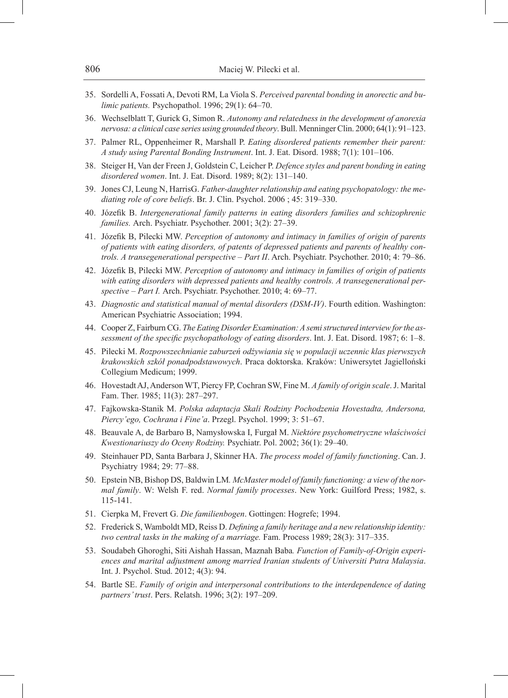- 35. Sordelli A, Fossati A, Devoti RM, La Viola S. *Perceived parental bonding in anorectic and bulimic patients.* Psychopathol. 1996; 29(1): 64–70.
- 36. Wechselblatt T, Gurick G, Simon R. *Autonomy and relatedness in the development of anorexia nervosa: a clinical case series using grounded theory*. Bull. Menninger Clin. 2000; 64(1): 91–123.
- 37. Palmer RL, Oppenheimer R, Marshall P. *Eating disordered patients remember their parent: A study using Parental Bonding Instrument*. Int. J. Eat. Disord. 1988; 7(1): 101–106.
- 38. Steiger H, Van der Freen J, Goldstein C, Leicher P. *Defence styles and parent bonding in eating disordered women*. Int. J. Eat. Disord. 1989; 8(2): 131–140.
- 39. Jones CJ, Leung N, HarrisG. *Father-daughter relationship and eating psychopatology: the mediating role of core beliefs*. Br. J. Clin. Psychol. 2006 ; 45: 319–330.
- 40. Józefik B. *Intergenerational family patterns in eating disorders families and schizophrenic families.* Arch. Psychiatr. Psychother. 2001; 3(2): 27–39.
- 41. Józefik B, Pilecki MW. *Perception of autonomy and intimacy in families of origin of parents of patients with eating disorders, of patents of depressed patients and parents of healthy controls. A transegenerational perspective – Part II*. Arch. Psychiatr. Psychother. 2010; 4: 79–86.
- 42. Józefik B, Pilecki MW. *Perception of autonomy and intimacy in families of origin of patients with eating disorders with depressed patients and healthy controls. A transegenerational perspective – Part I.* Arch. Psychiatr. Psychother. 2010; 4: 69–77.
- 43. *Diagnostic and statistical manual of mental disorders (DSM-IV)*. Fourth edition. Washington: American Psychiatric Association; 1994.
- 44. Cooper Z, Fairburn CG. *The Eating Disorder Examination: A semi structured interview for the assessment of the specific psychopathology of eating disorders*. Int. J. Eat. Disord. 1987; 6: 1–8.
- 45. Pilecki M. *Rozpowszechnianie zaburzeń odżywiania się w populacji uczennic klas pierwszych krakowskich szkół ponadpodstawowych*. Praca doktorska. Kraków: Uniwersytet Jagielloński Collegium Medicum; 1999.
- 46. Hovestadt AJ, Anderson WT, Piercy FP, Cochran SW, Fine M. *A family of origin scale*. J. Marital Fam. Ther. 1985; 11(3): 287–297.
- 47. Fajkowska-Stanik M. *Polska adaptacja Skali Rodziny Pochodzenia Hovestadta, Andersona, Piercy'ego, Cochrana i Fine'a*. Przegl. Psychol. 1999; 3: 51–67.
- 48. Beauvale A, de Barbaro B, Namysłowska I, Furgał M. *Niektóre psychometryczne właściwości Kwestionariuszy do Oceny Rodziny.* Psychiatr. Pol. 2002; 36(1): 29–40.
- 49. Steinhauer PD, Santa Barbara J, Skinner HA. *The process model of family functioning*. Can. J. Psychiatry 1984; 29: 77–88.
- 50. Epstein NB, Bishop DS, Baldwin LM*. McMaster model of family functioning: a view of the normal family*. W: Welsh F. red. *Normal family processes*. New York: Guilford Press; 1982, s. 115-141.
- 51. Cierpka M, Frevert G. *Die familienbogen*. Gottingen: Hogrefe; 1994.
- 52. Frederick S, Wamboldt MD, Reiss D. *Defining a family heritage and a new relationship identity: two central tasks in the making of a marriage.* Fam. Process 1989; 28(3): 317–335.
- 53. Soudabeh Ghoroghi, Siti Aishah Hassan, Maznah Baba*. Function of Family-of-Origin experiences and marital adjustment among married Iranian students of Universiti Putra Malaysia*. Int. J. Psychol. Stud. 2012; 4(3): 94.
- 54. Bartle SE. *Family of origin and interpersonal contributions to the interdependence of dating partners' trust*. Pers. Relatsh. 1996; 3(2): 197–209.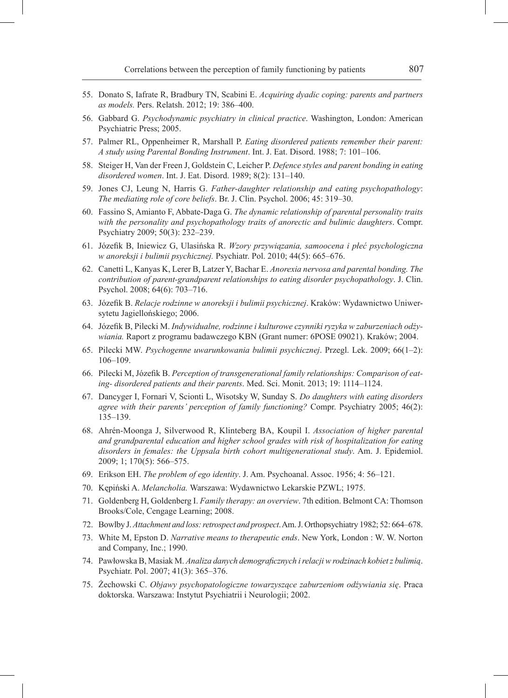- 55. Donato S, Iafrate R, Bradbury TN, Scabini E. *Acquiring dyadic coping: parents and partners as models.* Pers. Relatsh. 2012; 19: 386–400.
- 56. Gabbard G. *Psychodynamic psychiatry in clinical practice*. Washington, London: American Psychiatric Press; 2005.
- 57. Palmer RL, Oppenheimer R, Marshall P. *Eating disordered patients remember their parent: A study using Parental Bonding Instrument*. Int. J. Eat. Disord. 1988; 7: 101–106.
- 58. Steiger H, Van der Freen J, Goldstein C, Leicher P. *Defence styles and parent bonding in eating disordered women*. Int. J. Eat. Disord. 1989; 8(2): 131–140.
- 59. Jones CJ, Leung N, Harris G. *Father-daughter relationship and eating psychopathology*: *The mediating role of core beliefs*. Br. J. Clin. Psychol. 2006; 45: 319–30.
- 60. Fassino S, Amianto F, Abbate-Daga G. *The dynamic relationship of parental personality traits with the personality and psychopathology traits of anorectic and bulimic daughters*. Compr. Psychiatry 2009; 50(3): 232–239.
- 61. Józefik B, Iniewicz G, Ulasińska R. *Wzory przywiązania, samoocena i płeć psychologiczna w anoreksji i bulimii psychicznej.* Psychiatr. Pol. 2010; 44(5): 665–676.
- 62. Canetti L, Kanyas K, Lerer B, Latzer Y, Bachar E. *Anorexia nervosa and parental bonding. The contribution of parent-grandparent relationships to eating disorder psychopathology*. J. Clin. Psychol. 2008; 64(6): 703–716.
- 63. Józefik B. *Relacje rodzinne w anoreksji i bulimii psychicznej*. Kraków: Wydawnictwo Uniwersytetu Jagiellońskiego; 2006.
- 64. Józefik B, Pilecki M. *Indywidualne, rodzinne i kulturowe czynniki ryzyka w zaburzeniach odżywiania.* Raport z programu badawczego KBN (Grant numer: 6POSE 09021). Kraków; 2004.
- 65. Pilecki MW. *Psychogenne uwarunkowania bulimii psychicznej*. Przegl. Lek. 2009; 66(1–2): 106–109.
- 66. Pilecki M, Józefik B. *Perception of transgenerational family relationships: Comparison of eating- disordered patients and their parents*. Med. Sci. Monit. 2013; 19: 1114–1124.
- 67. Dancyger I, Fornari V, Scionti L, Wisotsky W, Sunday S. *Do daughters with eating disorders agree with their parents' perception of family functioning?* Compr. Psychiatry 2005; 46(2): 135–139.
- 68. Ahrén-Moonga J, Silverwood R, Klinteberg BA, Koupil I. *Association of higher parental and grandparental education and higher school grades with risk of hospitalization for eating disorders in females: the Uppsala birth cohort multigenerational study*. Am. J. Epidemiol. 2009; 1; 170(5): 566–575.
- 69. Erikson EH. *The problem of ego identity*. J. Am. Psychoanal. Assoc. 1956; 4: 56–121.
- 70. Kępiński A. *Melancholia.* Warszawa: Wydawnictwo Lekarskie PZWL; 1975.
- 71. Goldenberg H, Goldenberg I. *Family therapy: an overview*. 7th edition. Belmont CA: Thomson Brooks/Cole, Cengage Learning; 2008.
- 72. Bowlby J. *Attachment and loss: retrospect and prospect*. Am. J. Orthopsychiatry 1982; 52: 664–678.
- 73. White M, Epston D. *Narrative means to therapeutic ends*. New York, London : W. W. Norton and Company, Inc.; 1990.
- 74. Pawłowska B, Masiak M. *Analiza danych demograficznych i relacji w rodzinach kobiet z bulimią*. Psychiatr. Pol. 2007; 41(3): 365–376.
- 75. Żechowski C. *Objawy psychopatologiczne towarzyszące zaburzeniom odżywiania się*. Praca doktorska. Warszawa: Instytut Psychiatrii i Neurologii; 2002.